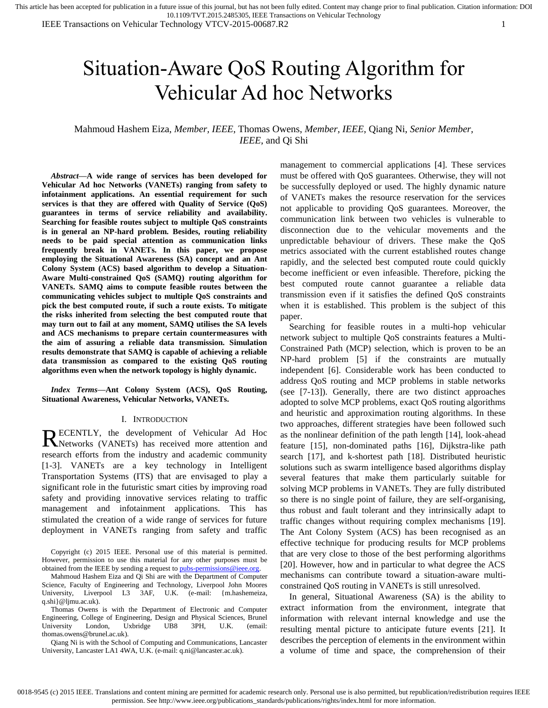IEEE Transactions on Vehicular Technology VTCV-2015-00687.R2 1

# Situation-Aware QoS Routing Algorithm for Vehicular Ad hoc Networks

# Mahmoud Hashem Eiza, *Member, IEEE*, Thomas Owens, *Member, IEEE*, Qiang Ni, *Senior Member, IEEE*, and Qi Shi

*Abstract***—A wide range of services has been developed for Vehicular Ad hoc Networks (VANETs) ranging from safety to infotainment applications. An essential requirement for such services is that they are offered with Quality of Service (QoS) guarantees in terms of service reliability and availability. Searching for feasible routes subject to multiple QoS constraints is in general an NP-hard problem. Besides, routing reliability needs to be paid special attention as communication links frequently break in VANETs. In this paper, we propose employing the Situational Awareness (SA) concept and an Ant Colony System (ACS) based algorithm to develop a Situation-Aware Multi-constrained QoS (SAMQ) routing algorithm for VANETs. SAMQ aims to compute feasible routes between the communicating vehicles subject to multiple QoS constraints and pick the best computed route, if such a route exists. To mitigate the risks inherited from selecting the best computed route that may turn out to fail at any moment, SAMQ utilises the SA levels and ACS mechanisms to prepare certain countermeasures with the aim of assuring a reliable data transmission. Simulation results demonstrate that SAMQ is capable of achieving a reliable data transmission as compared to the existing QoS routing algorithms even when the network topology is highly dynamic.**

#### *Index Terms***—Ant Colony System (ACS), QoS Routing, Situational Awareness, Vehicular Networks, VANETs.**

#### I. INTRODUCTION

ECENTLY, the development of Vehicular Ad Hoc RECENTLY, the development of Vehicular Ad Hoc Networks (VANETs) has received more attention and research efforts from the industry and academic community [1-3]. VANETs are a key technology in Intelligent Transportation Systems (ITS) that are envisaged to play a significant role in the futuristic smart cities by improving road safety and providing innovative services relating to traffic management and infotainment applications. This has stimulated the creation of a wide range of services for future deployment in VANETs ranging from safety and traffic

Copyright (c) 2015 IEEE. Personal use of this material is permitted. However, permission to use this material for any other purposes must be obtained from the IEEE by sending a request to [pubs-permissions@ieee.org.](mailto:pubs-permissions@ieee.org)

Mahmoud Hashem Eiza and Qi Shi are with the Department of Computer Science, Faculty of Engineering and Technology, Liverpool John Moores University, Liverpool L3 3AF, U.K. (e-mail: {m.hashemeiza, q.shi}@ljmu.ac.uk).

Thomas Owens is with the Department of Electronic and Computer Engineering, College of Engineering, Design and Physical Sciences, Brunel University London, Uxbridge UB8 3PH, U.K. (email: thomas.owens@brunel.ac.uk).

Qiang Ni is with the School of Computing and Communications, Lancaster University, Lancaster LA1 4WA, U.K. (e-mail: q.ni@lancaster.ac.uk).

management to commercial applications [4]. These services must be offered with QoS guarantees. Otherwise, they will not be successfully deployed or used. The highly dynamic nature of VANETs makes the resource reservation for the services not applicable to providing QoS guarantees. Moreover, the communication link between two vehicles is vulnerable to disconnection due to the vehicular movements and the unpredictable behaviour of drivers. These make the QoS metrics associated with the current established routes change rapidly, and the selected best computed route could quickly become inefficient or even infeasible. Therefore, picking the best computed route cannot guarantee a reliable data transmission even if it satisfies the defined QoS constraints when it is established. This problem is the subject of this paper.

Searching for feasible routes in a multi-hop vehicular network subject to multiple QoS constraints features a Multi-Constrained Path (MCP) selection, which is proven to be an NP-hard problem [5] if the constraints are mutually independent [6]. Considerable work has been conducted to address QoS routing and MCP problems in stable networks (see [7-13]). Generally, there are two distinct approaches adopted to solve MCP problems, exact QoS routing algorithms and heuristic and approximation routing algorithms. In these two approaches, different strategies have been followed such as the nonlinear definition of the path length [14], look-ahead feature [15], non-dominated paths [16], Dijkstra-like path search [17], and k-shortest path [18]. Distributed heuristic solutions such as swarm intelligence based algorithms display several features that make them particularly suitable for solving MCP problems in VANETs. They are fully distributed so there is no single point of failure, they are self-organising, thus robust and fault tolerant and they intrinsically adapt to traffic changes without requiring complex mechanisms [19]. The Ant Colony System (ACS) has been recognised as an effective technique for producing results for MCP problems that are very close to those of the best performing algorithms [20]. However, how and in particular to what degree the ACS mechanisms can contribute toward a situation-aware multiconstrained QoS routing in VANETs is still unresolved.

In general, Situational Awareness (SA) is the ability to extract information from the environment, integrate that information with relevant internal knowledge and use the resulting mental picture to anticipate future events [21]. It describes the perception of elements in the environment within a volume of time and space, the comprehension of their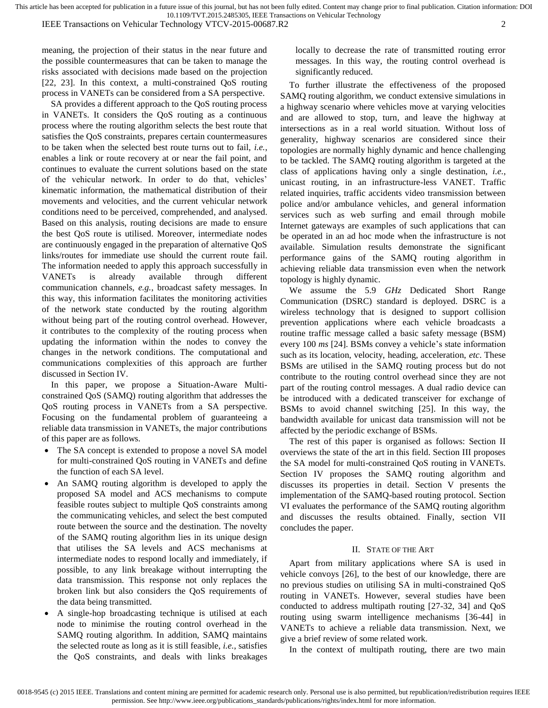meaning, the projection of their status in the near future and the possible countermeasures that can be taken to manage the risks associated with decisions made based on the projection [22, 23]. In this context, a multi-constrained QoS routing process in VANETs can be considered from a SA perspective.

SA provides a different approach to the QoS routing process in VANETs. It considers the QoS routing as a continuous process where the routing algorithm selects the best route that satisfies the QoS constraints, prepares certain countermeasures to be taken when the selected best route turns out to fail, *i.e.*, enables a link or route recovery at or near the fail point, and continues to evaluate the current solutions based on the state of the vehicular network. In order to do that, vehicles' kinematic information, the mathematical distribution of their movements and velocities, and the current vehicular network conditions need to be perceived, comprehended, and analysed. Based on this analysis, routing decisions are made to ensure the best QoS route is utilised. Moreover, intermediate nodes are continuously engaged in the preparation of alternative QoS links/routes for immediate use should the current route fail. The information needed to apply this approach successfully in VANETs is already available through different communication channels, *e.g.*, broadcast safety messages. In this way, this information facilitates the monitoring activities of the network state conducted by the routing algorithm without being part of the routing control overhead. However, it contributes to the complexity of the routing process when updating the information within the nodes to convey the changes in the network conditions. The computational and communications complexities of this approach are further discussed in Section IV.

In this paper, we propose a Situation-Aware Multiconstrained QoS (SAMQ) routing algorithm that addresses the QoS routing process in VANETs from a SA perspective. Focusing on the fundamental problem of guaranteeing a reliable data transmission in VANETs, the major contributions of this paper are as follows.

- The SA concept is extended to propose a novel SA model for multi-constrained QoS routing in VANETs and define the function of each SA level.
- An SAMQ routing algorithm is developed to apply the proposed SA model and ACS mechanisms to compute feasible routes subject to multiple QoS constraints among the communicating vehicles, and select the best computed route between the source and the destination. The novelty of the SAMQ routing algorithm lies in its unique design that utilises the SA levels and ACS mechanisms at intermediate nodes to respond locally and immediately, if possible, to any link breakage without interrupting the data transmission. This response not only replaces the broken link but also considers the QoS requirements of the data being transmitted.
- A single-hop broadcasting technique is utilised at each node to minimise the routing control overhead in the SAMQ routing algorithm. In addition, SAMQ maintains the selected route as long as it is still feasible, *i.e.*, satisfies the QoS constraints, and deals with links breakages

locally to decrease the rate of transmitted routing error messages. In this way, the routing control overhead is significantly reduced.

To further illustrate the effectiveness of the proposed SAMQ routing algorithm, we conduct extensive simulations in a highway scenario where vehicles move at varying velocities and are allowed to stop, turn, and leave the highway at intersections as in a real world situation. Without loss of generality, highway scenarios are considered since their topologies are normally highly dynamic and hence challenging to be tackled. The SAMQ routing algorithm is targeted at the class of applications having only a single destination, *i.e.*, unicast routing, in an infrastructure-less VANET. Traffic related inquiries, traffic accidents video transmission between police and/or ambulance vehicles, and general information services such as web surfing and email through mobile Internet gateways are examples of such applications that can be operated in an ad hoc mode when the infrastructure is not available. Simulation results demonstrate the significant performance gains of the SAMQ routing algorithm in achieving reliable data transmission even when the network topology is highly dynamic.

We assume the 5.9 *GHz* Dedicated Short Range Communication (DSRC) standard is deployed. DSRC is a wireless technology that is designed to support collision prevention applications where each vehicle broadcasts a routine traffic message called a basic safety message (BSM) every 100 *ms* [24]. BSMs convey a vehicle's state information such as its location, velocity, heading, acceleration, *etc*. These BSMs are utilised in the SAMQ routing process but do not contribute to the routing control overhead since they are not part of the routing control messages. A dual radio device can be introduced with a dedicated transceiver for exchange of BSMs to avoid channel switching [25]. In this way, the bandwidth available for unicast data transmission will not be affected by the periodic exchange of BSMs.

The rest of this paper is organised as follows: Section II overviews the state of the art in this field. Section III proposes the SA model for multi-constrained QoS routing in VANETs. Section IV proposes the SAMQ routing algorithm and discusses its properties in detail. Section V presents the implementation of the SAMQ-based routing protocol. Section VI evaluates the performance of the SAMQ routing algorithm and discusses the results obtained. Finally, section VII concludes the paper.

#### II. STATE OF THE ART

Apart from military applications where SA is used in vehicle convoys [26], to the best of our knowledge, there are no previous studies on utilising SA in multi-constrained QoS routing in VANETs. However, several studies have been conducted to address multipath routing [27-32, 34] and QoS routing using swarm intelligence mechanisms [36-44] in VANETs to achieve a reliable data transmission. Next, we give a brief review of some related work.

In the context of multipath routing, there are two main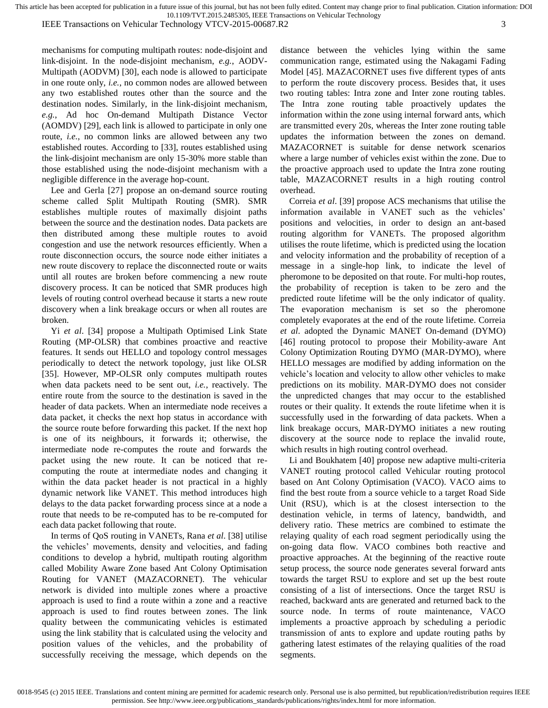mechanisms for computing multipath routes: node-disjoint and link-disjoint. In the node-disjoint mechanism, *e.g.*, AODV-Multipath (AODVM) [30], each node is allowed to participate in one route only, *i.e.*, no common nodes are allowed between any two established routes other than the source and the destination nodes. Similarly, in the link-disjoint mechanism, *e.g.*, Ad hoc On-demand Multipath Distance Vector (AOMDV) [29], each link is allowed to participate in only one route, *i.e.*, no common links are allowed between any two established routes. According to [33], routes established using the link-disjoint mechanism are only 15-30% more stable than those established using the node-disjoint mechanism with a negligible difference in the average hop-count.

Lee and Gerla [27] propose an on-demand source routing scheme called Split Multipath Routing (SMR). SMR establishes multiple routes of maximally disjoint paths between the source and the destination nodes. Data packets are then distributed among these multiple routes to avoid congestion and use the network resources efficiently. When a route disconnection occurs, the source node either initiates a new route discovery to replace the disconnected route or waits until all routes are broken before commencing a new route discovery process. It can be noticed that SMR produces high levels of routing control overhead because it starts a new route discovery when a link breakage occurs or when all routes are broken.

Yi *et al*. [34] propose a Multipath Optimised Link State Routing (MP-OLSR) that combines proactive and reactive features. It sends out HELLO and topology control messages periodically to detect the network topology, just like OLSR [35]. However, MP-OLSR only computes multipath routes when data packets need to be sent out, *i.e.*, reactively. The entire route from the source to the destination is saved in the header of data packets. When an intermediate node receives a data packet, it checks the next hop status in accordance with the source route before forwarding this packet. If the next hop is one of its neighbours, it forwards it; otherwise, the intermediate node re-computes the route and forwards the packet using the new route. It can be noticed that recomputing the route at intermediate nodes and changing it within the data packet header is not practical in a highly dynamic network like VANET. This method introduces high delays to the data packet forwarding process since at a node a route that needs to be re-computed has to be re-computed for each data packet following that route.

In terms of QoS routing in VANETs, Rana *et al*. [38] utilise the vehicles' movements, density and velocities, and fading conditions to develop a hybrid, multipath routing algorithm called Mobility Aware Zone based Ant Colony Optimisation Routing for VANET (MAZACORNET). The vehicular network is divided into multiple zones where a proactive approach is used to find a route within a zone and a reactive approach is used to find routes between zones. The link quality between the communicating vehicles is estimated using the link stability that is calculated using the velocity and position values of the vehicles, and the probability of successfully receiving the message, which depends on the

distance between the vehicles lying within the same communication range, estimated using the Nakagami Fading Model [45]. MAZACORNET uses five different types of ants to perform the route discovery process. Besides that, it uses two routing tables: Intra zone and Inter zone routing tables. The Intra zone routing table proactively updates the information within the zone using internal forward ants, which are transmitted every 20*s*, whereas the Inter zone routing table updates the information between the zones on demand. MAZACORNET is suitable for dense network scenarios where a large number of vehicles exist within the zone. Due to the proactive approach used to update the Intra zone routing table, MAZACORNET results in a high routing control overhead.

Correia *et al*. [39] propose ACS mechanisms that utilise the information available in VANET such as the vehicles' positions and velocities, in order to design an ant-based routing algorithm for VANETs. The proposed algorithm utilises the route lifetime, which is predicted using the location and velocity information and the probability of reception of a message in a single-hop link, to indicate the level of pheromone to be deposited on that route. For multi-hop routes, the probability of reception is taken to be zero and the predicted route lifetime will be the only indicator of quality. The evaporation mechanism is set so the pheromone completely evaporates at the end of the route lifetime. Correia *et al*. adopted the Dynamic MANET On-demand (DYMO) [46] routing protocol to propose their Mobility-aware Ant Colony Optimization Routing DYMO (MAR-DYMO), where HELLO messages are modified by adding information on the vehicle's location and velocity to allow other vehicles to make predictions on its mobility. MAR-DYMO does not consider the unpredicted changes that may occur to the established routes or their quality. It extends the route lifetime when it is successfully used in the forwarding of data packets. When a link breakage occurs, MAR-DYMO initiates a new routing discovery at the source node to replace the invalid route, which results in high routing control overhead.

Li and Boukhatem [40] propose new adaptive multi-criteria VANET routing protocol called Vehicular routing protocol based on Ant Colony Optimisation (VACO). VACO aims to find the best route from a source vehicle to a target Road Side Unit (RSU), which is at the closest intersection to the destination vehicle, in terms of latency, bandwidth, and delivery ratio. These metrics are combined to estimate the relaying quality of each road segment periodically using the on-going data flow. VACO combines both reactive and proactive approaches. At the beginning of the reactive route setup process, the source node generates several forward ants towards the target RSU to explore and set up the best route consisting of a list of intersections. Once the target RSU is reached, backward ants are generated and returned back to the source node. In terms of route maintenance, VACO implements a proactive approach by scheduling a periodic transmission of ants to explore and update routing paths by gathering latest estimates of the relaying qualities of the road segments.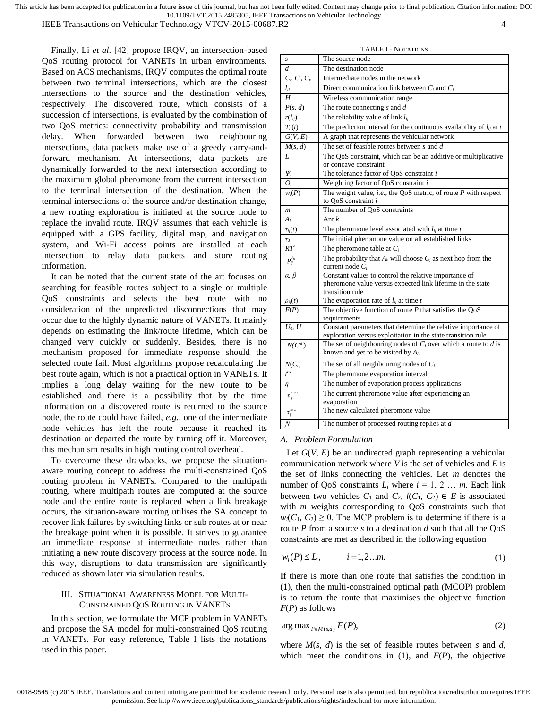IEEE Transactions on Vehicular Technology VTCV-2015-00687.R2 4

Finally, Li *et al*. [42] propose IRQV, an intersection-based QoS routing protocol for VANETs in urban environments. Based on ACS mechanisms, IRQV computes the optimal route between two terminal intersections, which are the closest intersections to the source and the destination vehicles, respectively. The discovered route, which consists of a succession of intersections, is evaluated by the combination of two QoS metrics: connectivity probability and transmission delay. When forwarded between two neighbouring intersections, data packets make use of a greedy carry-andforward mechanism. At intersections, data packets are dynamically forwarded to the next intersection according to the maximum global pheromone from the current intersection to the terminal intersection of the destination. When the terminal intersections of the source and/or destination change, a new routing exploration is initiated at the source node to replace the invalid route. IRQV assumes that each vehicle is equipped with a GPS facility, digital map, and navigation system, and Wi-Fi access points are installed at each intersection to relay data packets and store routing information.

It can be noted that the current state of the art focuses on searching for feasible routes subject to a single or multiple QoS constraints and selects the best route with no consideration of the unpredicted disconnections that may occur due to the highly dynamic nature of VANETs. It mainly depends on estimating the link/route lifetime, which can be changed very quickly or suddenly. Besides, there is no mechanism proposed for immediate response should the selected route fail. Most algorithms propose recalculating the best route again, which is not a practical option in VANETs. It implies a long delay waiting for the new route to be established and there is a possibility that by the time information on a discovered route is returned to the source node, the route could have failed, *e.g.*, one of the intermediate node vehicles has left the route because it reached its destination or departed the route by turning off it. Moreover, this mechanism results in high routing control overhead.

To overcome these drawbacks, we propose the situationaware routing concept to address the multi-constrained QoS routing problem in VANETs. Compared to the multipath routing, where multipath routes are computed at the source node and the entire route is replaced when a link breakage occurs, the situation-aware routing utilises the SA concept to recover link failures by switching links or sub routes at or near the breakage point when it is possible. It strives to guarantee an immediate response at intermediate nodes rather than initiating a new route discovery process at the source node. In this way, disruptions to data transmission are significantly reduced as shown later via simulation results.

# III. SITUATIONAL AWARENESS MODEL FOR MULTI-CONSTRAINED QOS ROUTING IN VANETS

In this section, we formulate the MCP problem in VANETs and propose the SA model for multi-constrained QoS routing in VANETs. For easy reference, Table I lists the notations used in this paper.

| <b>TABLE I - NOTATIONS</b> |                                                                                                             |  |
|----------------------------|-------------------------------------------------------------------------------------------------------------|--|
| S                          | The source node                                                                                             |  |
| d                          | The destination node                                                                                        |  |
| $C_i, C_j, C_v$            | Intermediate nodes in the network                                                                           |  |
| $l_{ij}$                   | Direct communication link between $C_i$ and $C_j$                                                           |  |
| Η                          | Wireless communication range                                                                                |  |
| P(s, d)                    | The route connecting $s$ and $d$                                                                            |  |
| $r(l_{ij})$                | The reliability value of link $l_{ij}$                                                                      |  |
| $T_{ij}(t)$                | The prediction interval for the continuous availability of $l_{ij}$ at t                                    |  |
| G(V, E)                    | A graph that represents the vehicular network                                                               |  |
| M(s, d)                    | The set of feasible routes between $s$ and $d$                                                              |  |
| L                          | The QoS constraint, which can be an additive or multiplicative                                              |  |
| $\Psi_i$                   | or concave constraint<br>The tolerance factor of QoS constraint i                                           |  |
| $O_i$                      |                                                                                                             |  |
|                            | Weighting factor of QoS constraint i                                                                        |  |
| $w_i(P)$                   | The weight value, i.e., the QoS metric, of route $P$ with respect<br>to QoS constraint i                    |  |
| m                          | The number of QoS constraints                                                                               |  |
| $A_k$                      | Ant $k$                                                                                                     |  |
| $\tau_{ij}(t)$             | The pheromone level associated with $l_{ij}$ at time $t$                                                    |  |
| $\tau_0$                   | The initial pheromone value on all established links                                                        |  |
| RT                         | The pheromone table at $C_i$                                                                                |  |
| $p_{ij}^{A_k}$             | The probability that $A_k$ will choose $C_j$ as next hop from the<br>current node $C_i$                     |  |
| $\alpha, \beta$            | Constant values to control the relative importance of                                                       |  |
|                            | pheromone value versus expected link lifetime in the state                                                  |  |
|                            | transition rule                                                                                             |  |
| $\rho_{ij}(t)$             | The evaporation rate of $l_{ij}$ at time t                                                                  |  |
| F(P)                       | The objective function of route $P$ that satisfies the QoS<br>requirements                                  |  |
| $U_0, U$                   | Constant parameters that determine the relative importance of                                               |  |
|                            | exploration versus exploitation in the state transition rule                                                |  |
| $N(C_i^d)$                 | The set of neighbouring nodes of $C_i$ over which a route to $d$ is<br>known and yet to be visited by $A_k$ |  |
| $N(C_i)$                   | The set of all neighbouring nodes of $C_i$                                                                  |  |
| $t^{ex}$                   | The pheromone evaporation interval                                                                          |  |
| η                          | The number of evaporation process applications                                                              |  |
| $\tau_{ij}^{curr}$         | The current pheromone value after experiencing an                                                           |  |
|                            | evaporation                                                                                                 |  |
| $\tau_{_{ij}}^{_{new}}$    | The new calculated pheromone value                                                                          |  |
| $\overline{N}$             | The number of processed routing replies at $d$                                                              |  |

#### *A. Problem Formulation*

Let  $G(V, E)$  be an undirected graph representing a vehicular communication network where *V* is the set of vehicles and *E* is the set of links connecting the vehicles. Let *m* denotes the number of QoS constraints  $L_i$  where  $i = 1, 2, \ldots, m$ . Each link between two vehicles  $C_1$  and  $C_2$ ,  $l(C_1, C_2) \in E$  is associated with *m* weights corresponding to QoS constraints such that  $w_i(C_1, C_2) \geq 0$ . The MCP problem is to determine if there is a route *P* from a source *s* to a destination *d* such that all the QoS constraints are met as described in the following equation

$$
w_i(P) \le L_i, \qquad i = 1, 2...m. \tag{1}
$$

If there is more than one route that satisfies the condition in (1), then the multi-constrained optimal path (MCOP) problem is to return the route that maximises the objective function *F*(*P*) as follows

$$
\arg \max\nolimits_{P \in M(s,d)} F(P),
$$
\n(2)

where *M*(*s*, *d*) is the set of feasible routes between *s* and *d*, which meet the conditions in  $(1)$ , and  $F(P)$ , the objective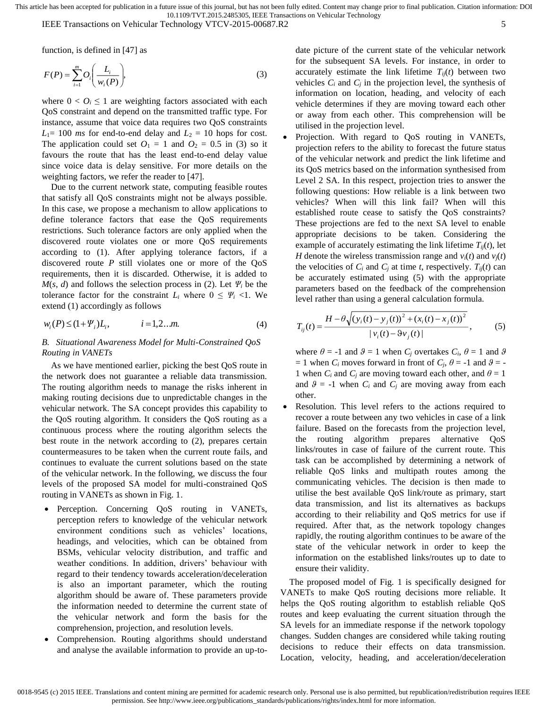IEEE Transactions on Vehicular Technology VTCV-2015-00687.R2 5

function, is defined in [47] as

$$
F(P) = \sum_{i=1}^{m} O_i\left(\frac{L_i}{w_i(P)}\right),\tag{3}
$$

where  $0 < O_i \leq 1$  are weighting factors associated with each QoS constraint and depend on the transmitted traffic type. For instance, assume that voice data requires two QoS constraints  $L_1$ = 100 *ms* for end-to-end delay and  $L_2$  = 10 hops for cost. The application could set  $O_1 = 1$  and  $O_2 = 0.5$  in (3) so it favours the route that has the least end-to-end delay value since voice data is delay sensitive. For more details on the weighting factors, we refer the reader to [47].

Due to the current network state, computing feasible routes that satisfy all QoS constraints might not be always possible. In this case, we propose a mechanism to allow applications to define tolerance factors that ease the QoS requirements restrictions. Such tolerance factors are only applied when the discovered route violates one or more QoS requirements according to (1). After applying tolerance factors, if a discovered route *P* still violates one or more of the QoS requirements, then it is discarded. Otherwise, it is added to *M*(*s*, *d*) and follows the selection process in (2). Let *Ψ<sup>i</sup>* be the tolerance factor for the constraint  $L_i$  where  $0 \leq \Psi_i$  <1. We extend (1) accordingly as follows

$$
w_i(P) \le (1 + \Psi_i)L_i, \qquad i = 1, 2...m. \tag{4}
$$

#### *B. Situational Awareness Model for Multi-Constrained QoS Routing in VANETs*

As we have mentioned earlier, picking the best QoS route in the network does not guarantee a reliable data transmission. The routing algorithm needs to manage the risks inherent in making routing decisions due to unpredictable changes in the vehicular network. The SA concept provides this capability to the QoS routing algorithm. It considers the QoS routing as a continuous process where the routing algorithm selects the best route in the network according to (2), prepares certain countermeasures to be taken when the current route fails, and continues to evaluate the current solutions based on the state of the vehicular network. In the following, we discuss the four levels of the proposed SA model for multi-constrained QoS routing in VANETs as shown in Fig. 1.

- Perception. Concerning QoS routing in VANETs, perception refers to knowledge of the vehicular network environment conditions such as vehicles' locations, headings, and velocities, which can be obtained from BSMs, vehicular velocity distribution, and traffic and weather conditions. In addition, drivers' behaviour with regard to their tendency towards acceleration/deceleration is also an important parameter, which the routing algorithm should be aware of. These parameters provide the information needed to determine the current state of the vehicular network and form the basis for the comprehension, projection, and resolution levels.
- Comprehension. Routing algorithms should understand and analyse the available information to provide an up-to-

date picture of the current state of the vehicular network for the subsequent SA levels. For instance, in order to accurately estimate the link lifetime  $T_{ij}(t)$  between two vehicles  $C_i$  and  $C_j$  in the projection level, the synthesis of information on location, heading, and velocity of each vehicle determines if they are moving toward each other or away from each other. This comprehension will be utilised in the projection level.

 Projection. With regard to QoS routing in VANETs, projection refers to the ability to forecast the future status of the vehicular network and predict the link lifetime and its QoS metrics based on the information synthesised from Level 2 SA. In this respect, projection tries to answer the following questions: How reliable is a link between two vehicles? When will this link fail? When will this established route cease to satisfy the QoS constraints? These projections are fed to the next SA level to enable appropriate decisions to be taken. Considering the example of accurately estimating the link lifetime  $T_{ij}(t)$ , let *H* denote the wireless transmission range and  $v_i(t)$  and  $v_j(t)$ the velocities of  $C_i$  and  $C_j$  at time *t*, respectively.  $T_{ii}(t)$  can be accurately estimated using (5) with the appropriate parameters based on the feedback of the comprehension level rather than using a general calculation formula.

$$
T_{ij}(t) = \frac{H - \theta \sqrt{(y_i(t) - y_j(t))^2 + (x_i(t) - x_j(t))^2}}{|v_i(t) - \theta v_j(t)|},
$$
 (5)

where  $\theta = -1$  and  $\theta = 1$  when  $C_j$  overtakes  $C_i$ ,  $\theta = 1$  and  $\theta$  $= 1$  when  $C_i$  moves forward in front of  $C_i$ ,  $\theta = -1$  and  $\theta = -1$ 1 when  $C_i$  and  $C_j$  are moving toward each other, and  $\theta = 1$ and  $\theta = -1$  when  $C_i$  and  $C_j$  are moving away from each other.

 Resolution. This level refers to the actions required to recover a route between any two vehicles in case of a link failure. Based on the forecasts from the projection level, the routing algorithm prepares alternative QoS links/routes in case of failure of the current route. This task can be accomplished by determining a network of reliable QoS links and multipath routes among the communicating vehicles. The decision is then made to utilise the best available QoS link/route as primary, start data transmission, and list its alternatives as backups according to their reliability and QoS metrics for use if required. After that, as the network topology changes rapidly, the routing algorithm continues to be aware of the state of the vehicular network in order to keep the information on the established links/routes up to date to ensure their validity.

The proposed model of Fig. 1 is specifically designed for VANETs to make QoS routing decisions more reliable. It helps the QoS routing algorithm to establish reliable QoS routes and keep evaluating the current situation through the SA levels for an immediate response if the network topology changes. Sudden changes are considered while taking routing decisions to reduce their effects on data transmission. Location, velocity, heading, and acceleration/deceleration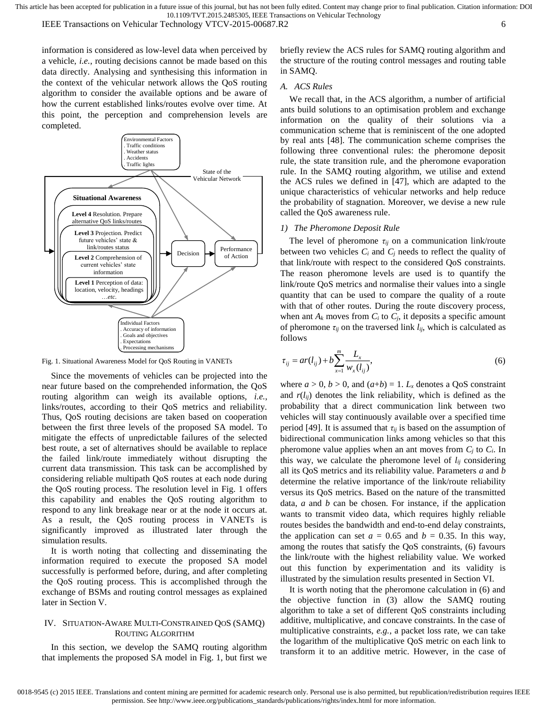IEEE Transactions on Vehicular Technology VTCV-2015-00687.R2 6

information is considered as low-level data when perceived by a vehicle, *i.e.*, routing decisions cannot be made based on this data directly. Analysing and synthesising this information in the context of the vehicular network allows the QoS routing algorithm to consider the available options and be aware of how the current established links/routes evolve over time. At this point, the perception and comprehension levels are completed.



Fig. 1. Situational Awareness Model for QoS Routing in VANETs

Since the movements of vehicles can be projected into the near future based on the comprehended information, the QoS routing algorithm can weigh its available options, *i.e.*, links/routes, according to their QoS metrics and reliability. Thus, QoS routing decisions are taken based on cooperation between the first three levels of the proposed SA model. To mitigate the effects of unpredictable failures of the selected best route, a set of alternatives should be available to replace the failed link/route immediately without disrupting the current data transmission. This task can be accomplished by considering reliable multipath QoS routes at each node during the QoS routing process. The resolution level in Fig. 1 offers this capability and enables the QoS routing algorithm to respond to any link breakage near or at the node it occurs at. As a result, the QoS routing process in VANETs is significantly improved as illustrated later through the simulation results.

It is worth noting that collecting and disseminating the information required to execute the proposed SA model successfully is performed before, during, and after completing the QoS routing process. This is accomplished through the exchange of BSMs and routing control messages as explained later in Section V.

#### IV. SITUATION-AWARE MULTI-CONSTRAINED QOS (SAMQ) ROUTING ALGORITHM

In this section, we develop the SAMQ routing algorithm that implements the proposed SA model in Fig. 1, but first we

briefly review the ACS rules for SAMQ routing algorithm and the structure of the routing control messages and routing table in SAMQ.

#### *A. ACS Rules*

We recall that, in the ACS algorithm, a number of artificial ants build solutions to an optimisation problem and exchange information on the quality of their solutions via a communication scheme that is reminiscent of the one adopted by real ants [48]. The communication scheme comprises the following three conventional rules: the pheromone deposit rule, the state transition rule, and the pheromone evaporation rule. In the SAMQ routing algorithm, we utilise and extend the ACS rules we defined in [47], which are adapted to the unique characteristics of vehicular networks and help reduce the probability of stagnation. Moreover, we devise a new rule called the QoS awareness rule.

#### *1) The Pheromone Deposit Rule*

The level of pheromone  $\tau_{ij}$  on a communication link/route between two vehicles  $C_i$  and  $C_j$  needs to reflect the quality of that link/route with respect to the considered QoS constraints. The reason pheromone levels are used is to quantify the link/route QoS metrics and normalise their values into a single quantity that can be used to compare the quality of a route with that of other routes. During the route discovery process, when ant  $A_k$  moves from  $C_i$  to  $C_j$ , it deposits a specific amount of pheromone  $\tau_{ij}$  on the traversed link  $l_{ij}$ , which is calculated as follows

$$
\tau_{ij} = ar(l_{ij}) + b \sum_{x=1}^{m} \frac{L_x}{w_x(l_{ij})},
$$
\n(6)

where  $a > 0$ ,  $b > 0$ , and  $(a+b) = 1$ .  $L_x$  denotes a QoS constraint and  $r(l_{ii})$  denotes the link reliability, which is defined as the probability that a direct communication link between two vehicles will stay continuously available over a specified time period [49]. It is assumed that  $\tau_{ij}$  is based on the assumption of bidirectional communication links among vehicles so that this pheromone value applies when an ant moves from  $C_i$  to  $C_i$ . In this way, we calculate the pheromone level of  $l_{ij}$  considering all its QoS metrics and its reliability value. Parameters *a* and *b* determine the relative importance of the link/route reliability versus its QoS metrics. Based on the nature of the transmitted data, *a* and *b* can be chosen. For instance, if the application wants to transmit video data, which requires highly reliable routes besides the bandwidth and end-to-end delay constraints, the application can set  $a = 0.65$  and  $b = 0.35$ . In this way, among the routes that satisfy the QoS constraints, (6) favours the link/route with the highest reliability value. We worked out this function by experimentation and its validity is illustrated by the simulation results presented in Section VI.

It is worth noting that the pheromone calculation in (6) and the objective function in (3) allow the SAMQ routing algorithm to take a set of different QoS constraints including additive, multiplicative, and concave constraints. In the case of multiplicative constraints, *e.g.*, a packet loss rate, we can take the logarithm of the multiplicative QoS metric on each link to transform it to an additive metric. However, in the case of

<sup>0018-9545 (</sup>c) 2015 IEEE. Translations and content mining are permitted for academic research only. Personal use is also permitted, but republication/redistribution requires IEEE permission. See http://www.ieee.org/publications\_standards/publications/rights/index.html for more information.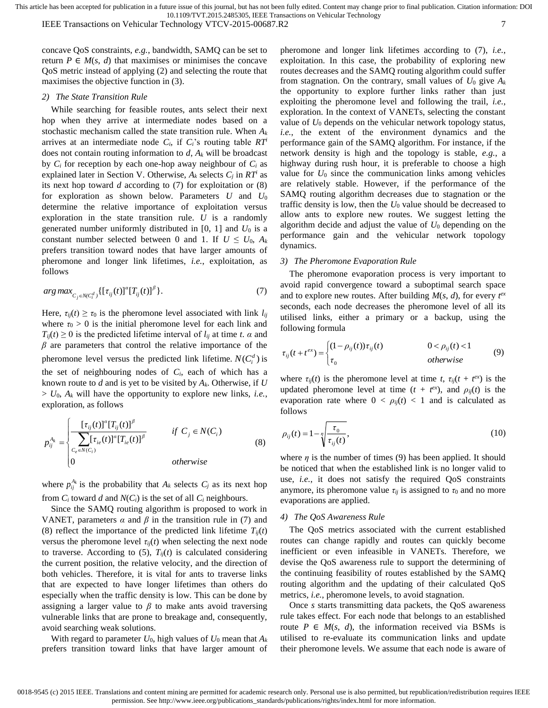IEEE Transactions on Vehicular Technology VTCV-2015-00687.R2 7

concave QoS constraints, *e.g.*, bandwidth, SAMQ can be set to return  $P \in M(s, d)$  that maximises or minimises the concave QoS metric instead of applying (2) and selecting the route that maximises the objective function in (3).

### *2) The State Transition Rule*

While searching for feasible routes, ants select their next hop when they arrive at intermediate nodes based on a stochastic mechanism called the state transition rule. When *A<sup>k</sup>* arrives at an intermediate node  $C_i$ , if  $C_i$ 's routing table  $RT^i$ does not contain routing information to *d*, *A<sup>k</sup>* will be broadcast by  $C_i$  for reception by each one-hop away neighbour of  $C_i$  as explained later in Section V. Otherwise,  $A_k$  selects  $C_j$  in  $RT^i$  as its next hop toward *d* according to (7) for exploitation or (8) for exploration as shown below. Parameters *U* and *U*<sup>0</sup> determine the relative importance of exploitation versus exploration in the state transition rule. *U* is a randomly generated number uniformly distributed in  $[0, 1]$  and  $U_0$  is a constant number selected between 0 and 1. If  $U \le U_0$ ,  $A_k$ prefers transition toward nodes that have larger amounts of pheromone and longer link lifetimes, *i.e.*, exploitation, as follows

$$
arg max_{C_j \in N(C_i^j)} \{ [\tau_{ij}(t)]^{\alpha} [T_{ij}(t)]^{\beta} \}.
$$
 (7)

Here,  $\tau_{ii}(t) \geq \tau_0$  is the pheromone level associated with link  $l_{ii}$ where  $\tau_0 > 0$  is the initial pheromone level for each link and  $T_{ij}(t) \geq 0$  is the predicted lifetime interval of  $l_{ij}$  at time *t*. *α* and *β* are parameters that control the relative importance of the pheromone level versus the predicted link lifetime.  $N(C_i^d)$  is the set of neighbouring nodes of *Ci*, each of which has a known route to *d* and is yet to be visited by *Ak*. Otherwise, if *U*  $> U_0$ ,  $A_k$  will have the opportunity to explore new links, *i.e.*, exploration, as follows

$$
p_{ij}^{A_k} = \begin{cases} \frac{\left[\tau_{ij}(t)\right]^a \left[T_{ij}(t)\right]^{\beta}}{\sum_{c_e \in N(C_i)} \left[\tau_{ie}(t)\right]^a \left[T_{ie}(t)\right]^{\beta}} & \text{if } C_j \in N(C_i) \\ 0 & \text{otherwise} \end{cases}
$$
(8)

where  $p_{ij}^{A_k}$  is the probability that  $A_k$  selects  $C_j$  as its next hop from  $C_i$  toward  $d$  and  $N(C_i)$  is the set of all  $C_i$  neighbours.

Since the SAMQ routing algorithm is proposed to work in VANET, parameters  $\alpha$  and  $\beta$  in the transition rule in (7) and (8) reflect the importance of the predicted link lifetime  $T_{ij}(t)$ versus the pheromone level  $\tau_{ij}(t)$  when selecting the next node to traverse. According to  $(5)$ ,  $T_{ij}(t)$  is calculated considering the current position, the relative velocity, and the direction of both vehicles. Therefore, it is vital for ants to traverse links that are expected to have longer lifetimes than others do especially when the traffic density is low. This can be done by assigning a larger value to *β* to make ants avoid traversing vulnerable links that are prone to breakage and, consequently, avoid searching weak solutions.

With regard to parameter  $U_0$ , high values of  $U_0$  mean that  $A_k$ prefers transition toward links that have larger amount of pheromone and longer link lifetimes according to (7), *i.e.*, exploitation. In this case, the probability of exploring new routes decreases and the SAMQ routing algorithm could suffer from stagnation. On the contrary, small values of  $U_0$  give  $A_k$ the opportunity to explore further links rather than just exploiting the pheromone level and following the trail, *i.e.*, exploration. In the context of VANETs, selecting the constant value of  $U_0$  depends on the vehicular network topology status, *i.e.*, the extent of the environment dynamics and the performance gain of the SAMQ algorithm. For instance, if the network density is high and the topology is stable, *e.g.*, a highway during rush hour, it is preferable to choose a high value for  $U_0$  since the communication links among vehicles are relatively stable. However, if the performance of the SAMQ routing algorithm decreases due to stagnation or the traffic density is low, then the  $U_0$  value should be decreased to allow ants to explore new routes. We suggest letting the algorithm decide and adjust the value of *U*<sup>0</sup> depending on the performance gain and the vehicular network topology dynamics.

#### *3) The Pheromone Evaporation Rule*

The pheromone evaporation process is very important to avoid rapid convergence toward a suboptimal search space and to explore new routes. After building  $M(s, d)$ , for every  $t^{ex}$ seconds, each node decreases the pheromone level of all its utilised links, either a primary or a backup, using the following formula

$$
\tau_{ij}(t+t^{ex}) = \begin{cases} (1-\rho_{ij}(t))\tau_{ij}(t) & 0 < \rho_{ij}(t) < 1\\ \tau_0 & otherwise \end{cases}
$$
(9)

where  $\tau_{ij}(t)$  is the pheromone level at time *t*,  $\tau_{ij}(t + t^{ex})$  is the updated pheromone level at time  $(t + t^{ex})$ , and  $\rho_{ij}(t)$  is the evaporation rate where  $0 < \rho_{ij}(t) < 1$  and is calculated as follows

$$
\rho_{ij}(t) = 1 - \sqrt{\frac{\tau_0}{\tau_{ij}(t)}},\tag{10}
$$

where  $\eta$  is the number of times (9) has been applied. It should be noticed that when the established link is no longer valid to use, *i.e.*, it does not satisfy the required QoS constraints anymore, its pheromone value  $\tau_{ij}$  is assigned to  $\tau_0$  and no more evaporations are applied.

#### *4) The QoS Awareness Rule*

The QoS metrics associated with the current established routes can change rapidly and routes can quickly become inefficient or even infeasible in VANETs. Therefore, we devise the QoS awareness rule to support the determining of the continuing feasibility of routes established by the SAMQ routing algorithm and the updating of their calculated QoS metrics, *i.e.*, pheromone levels, to avoid stagnation.

Once *s* starts transmitting data packets, the QoS awareness rule takes effect. For each node that belongs to an established route  $P \in M(s, d)$ , the information received via BSMs is utilised to re-evaluate its communication links and update their pheromone levels. We assume that each node is aware of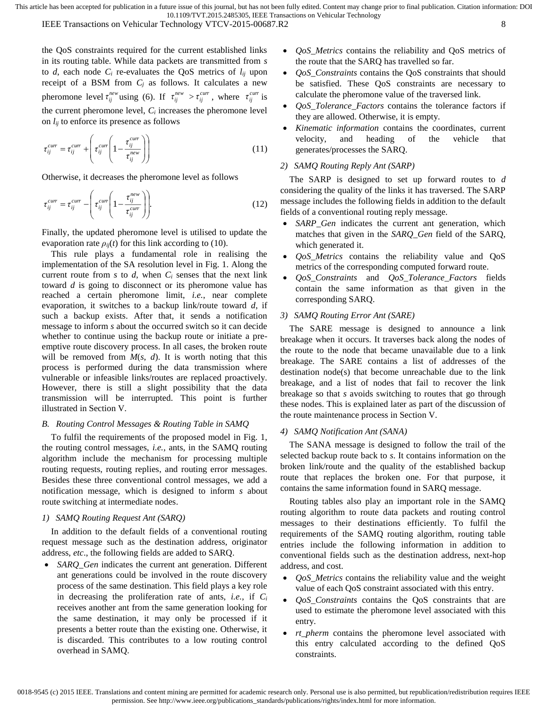IEEE Transactions on Vehicular Technology VTCV-2015-00687.R2 8

the QoS constraints required for the current established links in its routing table. While data packets are transmitted from *s* to  $d$ , each node  $C_i$  re-evaluates the QoS metrics of  $l_{ij}$  upon receipt of a BSM from  $C_j$  as follows. It calculates a new pheromone level  $\tau_{ij}^{new}$  using (6). If  $\tau_{ij}^{new} > \tau_{ij}^{curr}$ , where  $\tau_{ij}^{curr}$  is the current pheromone level,  $C_i$  increases the pheromone level on *lij* to enforce its presence as follows

$$
\tau_{ij}^{curr} = \tau_{ij}^{curr} + \left(\tau_{ij}^{curr} \left(1 - \frac{\tau_{ij}^{curr}}{\tau_{ij}^{new}}\right)\right)
$$
(11)

Otherwise, it decreases the pheromone level as follows

$$
\tau_{ij}^{curr} = \tau_{ij}^{curr} - \left(\tau_{ij}^{curr} \left(1 - \frac{\tau_{ij}^{new}}{\tau_{ij}^{curr}}\right)\right).
$$
 (12)

Finally, the updated pheromone level is utilised to update the evaporation rate  $\rho_{ij}(t)$  for this link according to (10).

This rule plays a fundamental role in realising the implementation of the SA resolution level in Fig. 1. Along the current route from  $s$  to  $d$ , when  $C_i$  senses that the next link toward *d* is going to disconnect or its pheromone value has reached a certain pheromone limit, *i.e.*, near complete evaporation, it switches to a backup link/route toward *d*, if such a backup exists. After that, it sends a notification message to inform *s* about the occurred switch so it can decide whether to continue using the backup route or initiate a preemptive route discovery process. In all cases, the broken route will be removed from  $M(s, d)$ . It is worth noting that this process is performed during the data transmission where vulnerable or infeasible links/routes are replaced proactively. However, there is still a slight possibility that the data transmission will be interrupted. This point is further illustrated in Section V.

#### *B. Routing Control Messages & Routing Table in SAMQ*

To fulfil the requirements of the proposed model in Fig. 1, the routing control messages, *i.e.*, ants, in the SAMQ routing algorithm include the mechanism for processing multiple routing requests, routing replies, and routing error messages. Besides these three conventional control messages, we add a notification message, which is designed to inform *s* about route switching at intermediate nodes.

### *1) SAMQ Routing Request Ant (SARQ)*

In addition to the default fields of a conventional routing request message such as the destination address, originator address, *etc*., the following fields are added to SARQ.

 *SARQ\_Gen* indicates the current ant generation. Different ant generations could be involved in the route discovery process of the same destination. This field plays a key role in decreasing the proliferation rate of ants, *i.e.*, if *C<sup>i</sup>* receives another ant from the same generation looking for the same destination, it may only be processed if it presents a better route than the existing one. Otherwise, it is discarded. This contributes to a low routing control overhead in SAMQ.

- *QoS\_Metrics* contains the reliability and QoS metrics of the route that the SARQ has travelled so far.
- *QoS\_Constraints* contains the QoS constraints that should be satisfied. These QoS constraints are necessary to calculate the pheromone value of the traversed link.
- *QoS\_Tolerance\_Factors* contains the tolerance factors if they are allowed. Otherwise, it is empty.
- *Kinematic information* contains the coordinates, current velocity, and heading of the vehicle that generates/processes the SARQ.

### *2) SAMQ Routing Reply Ant (SARP)*

The SARP is designed to set up forward routes to *d* considering the quality of the links it has traversed. The SARP message includes the following fields in addition to the default fields of a conventional routing reply message.

- *SARP\_Gen* indicates the current ant generation, which matches that given in the *SARQ\_Gen* field of the SARQ, which generated it.
- *QoS\_Metrics* contains the reliability value and QoS metrics of the corresponding computed forward route.
- *QoS\_Constraints* and *QoS\_Tolerance\_Factors* fields contain the same information as that given in the corresponding SARQ.

#### *3) SAMQ Routing Error Ant (SARE)*

The SARE message is designed to announce a link breakage when it occurs. It traverses back along the nodes of the route to the node that became unavailable due to a link breakage. The SARE contains a list of addresses of the destination node(s) that become unreachable due to the link breakage, and a list of nodes that fail to recover the link breakage so that *s* avoids switching to routes that go through these nodes. This is explained later as part of the discussion of the route maintenance process in Section V.

### *4) SAMQ Notification Ant (SANA)*

The SANA message is designed to follow the trail of the selected backup route back to *s*. It contains information on the broken link/route and the quality of the established backup route that replaces the broken one. For that purpose, it contains the same information found in SARQ message.

Routing tables also play an important role in the SAMQ routing algorithm to route data packets and routing control messages to their destinations efficiently. To fulfil the requirements of the SAMQ routing algorithm, routing table entries include the following information in addition to conventional fields such as the destination address, next-hop address, and cost.

- *QoS\_Metrics* contains the reliability value and the weight value of each QoS constraint associated with this entry.
- *QoS\_Constraints* contains the QoS constraints that are used to estimate the pheromone level associated with this entry.
- *rt\_pherm* contains the pheromone level associated with this entry calculated according to the defined QoS constraints.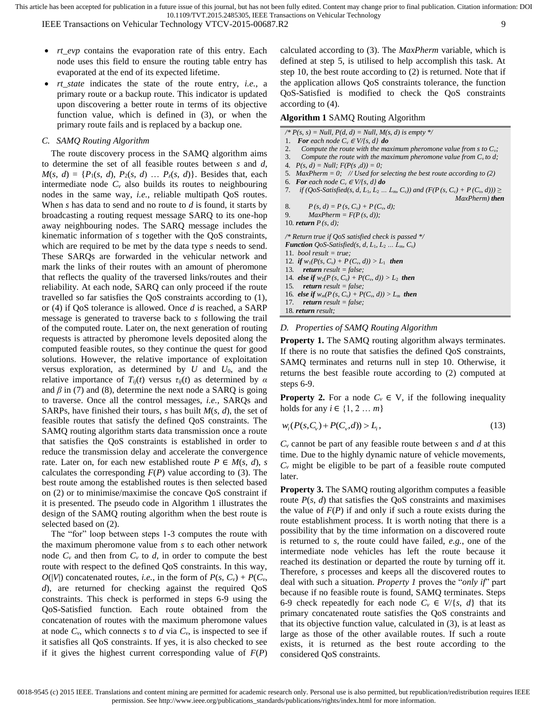IEEE Transactions on Vehicular Technology VTCV-2015-00687.R2 9

- *rt\_evp* contains the evaporation rate of this entry. Each node uses this field to ensure the routing table entry has evaporated at the end of its expected lifetime.
- *rt\_state* indicates the state of the route entry, *i.e.*, a primary route or a backup route. This indicator is updated upon discovering a better route in terms of its objective function value, which is defined in (3), or when the primary route fails and is replaced by a backup one.

# *C. SAMQ Routing Algorithm*

The route discovery process in the SAMQ algorithm aims to determine the set of all feasible routes between *s* and *d*,  $M(s, d) = {P_1(s, d), P_2(s, d) \dots P_z(s, d)}$ . Besides that, each intermediate node  $C_v$  also builds its routes to neighbouring nodes in the same way, *i.e.*, reliable multipath QoS routes. When *s* has data to send and no route to *d* is found, it starts by broadcasting a routing request message SARQ to its one-hop away neighbouring nodes. The SARQ message includes the kinematic information of *s* together with the QoS constraints, which are required to be met by the data type *s* needs to send. These SARQs are forwarded in the vehicular network and mark the links of their routes with an amount of pheromone that reflects the quality of the traversed links/routes and their reliability. At each node, SARQ can only proceed if the route travelled so far satisfies the QoS constraints according to (1), or (4) if QoS tolerance is allowed. Once *d* is reached, a SARP message is generated to traverse back to *s* following the trail of the computed route. Later on, the next generation of routing requests is attracted by pheromone levels deposited along the computed feasible routes, so they continue the quest for good solutions. However, the relative importance of exploitation versus exploration, as determined by *U* and *U*0, and the relative importance of  $T_{ij}(t)$  versus  $\tau_{ij}(t)$  as determined by  $\alpha$ and  $\beta$  in (7) and (8), determine the next node a SARQ is going to traverse. Once all the control messages, *i.e.*, SARQs and SARPs, have finished their tours, *s* has built *M*(*s*, *d*), the set of feasible routes that satisfy the defined QoS constraints. The SAMQ routing algorithm starts data transmission once a route that satisfies the QoS constraints is established in order to reduce the transmission delay and accelerate the convergence rate. Later on, for each new established route  $P \in M(s, d)$ , *s* calculates the corresponding  $F(P)$  value according to (3). The best route among the established routes is then selected based on (2) or to minimise/maximise the concave QoS constraint if it is presented. The pseudo code in Algorithm 1 illustrates the design of the SAMQ routing algorithm when the best route is selected based on (2).

The "for" loop between steps 1-3 computes the route with the maximum pheromone value from *s* to each other network node  $C_v$  and then from  $C_v$  to  $d$ , in order to compute the best route with respect to the defined QoS constraints. In this way,  $O(|V|)$  concatenated routes, *i.e.*, in the form of  $P(s, C_v) + P(C_v, C_v)$ *d*), are returned for checking against the required QoS constraints. This check is performed in steps 6-9 using the QoS-Satisfied function. Each route obtained from the concatenation of routes with the maximum pheromone values at node  $C_v$ , which connects *s* to *d* via  $C_v$ , is inspected to see if it satisfies all QoS constraints. If yes, it is also checked to see if it gives the highest current corresponding value of *F*(*P*) calculated according to (3). The *MaxPherm* variable, which is defined at step 5, is utilised to help accomplish this task. At step 10, the best route according to (2) is returned. Note that if the application allows QoS constraints tolerance, the function QoS-Satisfied is modified to check the QoS constraints according to (4).

# **Algorithm 1** SAMQ Routing Algorithm

- $A^* P(s, s) = Null$ ,  $P(d, d) = Null$ ,  $M(s, d)$  *is empty* \*/
- 1. *For each node*  $C_v \in V/\{s, d\}$  **do**
- 2. *Compute the route with the maximum pheromone value from s to Cv;*
- 3. *Compute the route with the maximum pheromone value from C<sup>v</sup> to d;*
- 4.  $P(s, d) = Null$ ;  $F(P(s, d)) = 0$ ;
- 5*. MaxPherm = 0; // Used for selecting the best route according to (2)*
- 6*. For each node*  $C_v \in V/\{s, d\}$  *do*
- *7. if* (*QoS-Satisfied*(*s, d, L*<sub>1</sub>*, L*<sub>2</sub> *… L*<sub>*m*</sub>  $C_v$ *)*) and (*F*(*P*(*s, C<sub><i>v*</sub>) + *P*(*C<sub><i>v*</sub></sub>, *d*))) ≥  *MaxPherm) then*

```
8. P(s, d) = P(s, C_v) + P(C_v, d);
```
9.  $MaxPherm = F(P(s, d))$ ;

10*. return P(s, d);*

```
/* Return true if QoS satisfied check is passed */
Function QoS-Satisfied(s, d, L1, L2 … Lm, Cv)
11. bool result = true; 
12. if w_1(P(s, C_v) + P(C_v, d)) > L_1 then
13. return result = false;
14. else if w_2(P(s, C_v) + P(C_v, d)) > L_2 then
15. return result = false;
16. else if w_m(P(s, C_v) + P(C_v, d)) > L_m then
17. return result = false;
18. return result;
```
### *D. Properties of SAMQ Routing Algorithm*

**Property 1.** The SAMQ routing algorithm always terminates. If there is no route that satisfies the defined QoS constraints, SAMQ terminates and returns null in step 10. Otherwise, it returns the best feasible route according to (2) computed at steps 6-9.

**Property 2.** For a node  $C_v \in V$ , if the following inequality holds for any *i* ∈ {1, 2 … *m*}

$$
w_i(P(s, C_v) + P(C_v, d)) > L_i,
$$
\n(13)

*C<sup>v</sup>* cannot be part of any feasible route between *s* and *d* at this time. Due to the highly dynamic nature of vehicle movements,  $C<sub>v</sub>$  might be eligible to be part of a feasible route computed later.

**Property 3.** The SAMQ routing algorithm computes a feasible route  $P(s, d)$  that satisfies the QoS constraints and maximises the value of  $F(P)$  if and only if such a route exists during the route establishment process. It is worth noting that there is a possibility that by the time information on a discovered route is returned to *s*, the route could have failed, *e.g.*, one of the intermediate node vehicles has left the route because it reached its destination or departed the route by turning off it. Therefore, *s* processes and keeps all the discovered routes to deal with such a situation. *Property 1* proves the "*only if*" part because if no feasible route is found, SAMQ terminates. Steps 6-9 check repeatedly for each node  $C_v \in V/\{s, d\}$  that its primary concatenated route satisfies the QoS constraints and that its objective function value, calculated in (3), is at least as large as those of the other available routes. If such a route exists, it is returned as the best route according to the considered QoS constraints.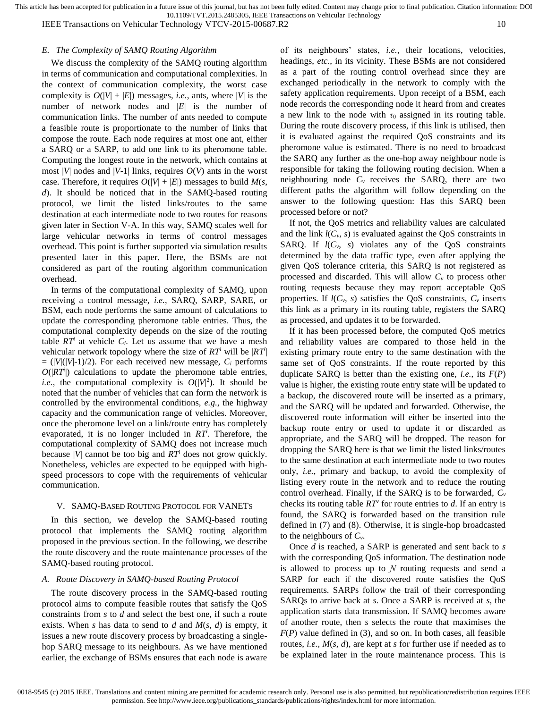IEEE Transactions on Vehicular Technology VTCV-2015-00687.R2 10

# *E. The Complexity of SAMQ Routing Algorithm*

We discuss the complexity of the SAMQ routing algorithm in terms of communication and computational complexities. In the context of communication complexity, the worst case complexity is  $O(|V| + |E|)$  messages, *i.e.*, ants, where |*V*| is the number of network nodes and  $|E|$  is the number of communication links. The number of ants needed to compute a feasible route is proportionate to the number of links that compose the route. Each node requires at most one ant, either a SARQ or a SARP, to add one link to its pheromone table. Computing the longest route in the network, which contains at most |*V*| nodes and |*V*-1| links, requires  $O(V)$  ants in the worst case. Therefore, it requires  $O(|V| + |E|)$  messages to build  $M(s,$ *d*). It should be noticed that in the SAMQ-based routing protocol, we limit the listed links/routes to the same destination at each intermediate node to two routes for reasons given later in Section V-A. In this way, SAMQ scales well for large vehicular networks in terms of control messages overhead. This point is further supported via simulation results presented later in this paper. Here, the BSMs are not considered as part of the routing algorithm communication overhead.

In terms of the computational complexity of SAMQ, upon receiving a control message, *i.e.*, SARQ, SARP, SARE, or BSM, each node performs the same amount of calculations to update the corresponding pheromone table entries. Thus, the computational complexity depends on the size of the routing table  $RT<sup>i</sup>$  at vehicle  $C<sub>i</sub>$ . Let us assume that we have a mesh vehicular network topology where the size of  $RT<sup>i</sup>$  will be  $|RT<sup>i</sup>|$  $= (|V|(|V|-1)/2)$ . For each received new message,  $C_i$  performs  $O(|RT|)$  calculations to update the pheromone table entries, *i.e.*, the computational complexity is  $O(|V|^2)$ . It should be noted that the number of vehicles that can form the network is controlled by the environmental conditions, *e.g.*, the highway capacity and the communication range of vehicles. Moreover, once the pheromone level on a link/route entry has completely evaporated, it is no longer included in *RT<sup>i</sup>* . Therefore, the computational complexity of SAMQ does not increase much because |*V*| cannot be too big and *RT<sup>i</sup>* does not grow quickly. Nonetheless, vehicles are expected to be equipped with highspeed processors to cope with the requirements of vehicular communication.

#### V. SAMQ-BASED ROUTING PROTOCOL FOR VANETS

In this section, we develop the SAMQ-based routing protocol that implements the SAMQ routing algorithm proposed in the previous section. In the following, we describe the route discovery and the route maintenance processes of the SAMQ-based routing protocol.

#### *A. Route Discovery in SAMQ-based Routing Protocol*

The route discovery process in the SAMQ-based routing protocol aims to compute feasible routes that satisfy the QoS constraints from *s* to *d* and select the best one, if such a route exists. When *s* has data to send to *d* and *M*(*s*, *d*) is empty, it issues a new route discovery process by broadcasting a singlehop SARQ message to its neighbours. As we have mentioned earlier, the exchange of BSMs ensures that each node is aware of its neighbours' states, *i.e.*, their locations, velocities, headings, *etc*., in its vicinity. These BSMs are not considered as a part of the routing control overhead since they are exchanged periodically in the network to comply with the safety application requirements. Upon receipt of a BSM, each node records the corresponding node it heard from and creates a new link to the node with  $\tau_0$  assigned in its routing table. During the route discovery process, if this link is utilised, then it is evaluated against the required QoS constraints and its pheromone value is estimated. There is no need to broadcast the SARQ any further as the one-hop away neighbour node is responsible for taking the following routing decision. When a neighbouring node  $C_v$  receives the SARQ, there are two different paths the algorithm will follow depending on the answer to the following question: Has this SARQ been processed before or not?

If not, the QoS metrics and reliability values are calculated and the link  $l(C_v, s)$  is evaluated against the QoS constraints in SARQ. If  $l(C_v, s)$  violates any of the QoS constraints determined by the data traffic type, even after applying the given QoS tolerance criteria, this SARQ is not registered as processed and discarded. This will allow *C<sup>v</sup>* to process other routing requests because they may report acceptable QoS properties. If  $l(C_v, s)$  satisfies the QoS constraints,  $C_v$  inserts this link as a primary in its routing table, registers the SARQ as processed, and updates it to be forwarded.

If it has been processed before, the computed QoS metrics and reliability values are compared to those held in the existing primary route entry to the same destination with the same set of QoS constraints. If the route reported by this duplicate SARQ is better than the existing one, *i.e.*, its *F*(*P*) value is higher, the existing route entry state will be updated to a backup, the discovered route will be inserted as a primary, and the SARQ will be updated and forwarded. Otherwise, the discovered route information will either be inserted into the backup route entry or used to update it or discarded as appropriate, and the SARQ will be dropped. The reason for dropping the SARQ here is that we limit the listed links/routes to the same destination at each intermediate node to two routes only, *i.e.*, primary and backup, to avoid the complexity of listing every route in the network and to reduce the routing control overhead. Finally, if the SARQ is to be forwarded, *C<sup>v</sup>* checks its routing table *RT<sup>v</sup>* for route entries to *d*. If an entry is found, the SARQ is forwarded based on the transition rule defined in (7) and (8). Otherwise, it is single-hop broadcasted to the neighbours of  $C_v$ .

Once *d* is reached, a SARP is generated and sent back to *s* with the corresponding QoS information. The destination node is allowed to process up to *N* routing requests and send a SARP for each if the discovered route satisfies the QoS requirements. SARPs follow the trail of their corresponding SARQs to arrive back at *s*. Once a SARP is received at *s*, the application starts data transmission. If SAMQ becomes aware of another route, then *s* selects the route that maximises the  $F(P)$  value defined in (3), and so on. In both cases, all feasible routes, *i.e.*, *M*(*s*, *d*), are kept at *s* for further use if needed as to be explained later in the route maintenance process. This is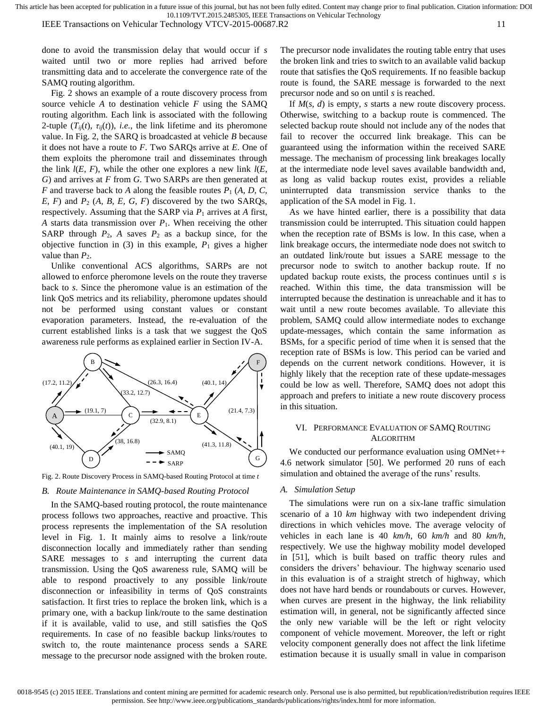done to avoid the transmission delay that would occur if *s* waited until two or more replies had arrived before transmitting data and to accelerate the convergence rate of the SAMQ routing algorithm.

Fig. 2 shows an example of a route discovery process from source vehicle *A* to destination vehicle *F* using the SAMQ routing algorithm. Each link is associated with the following 2-tuple  $(T_{ij}(t), \tau_{ij}(t))$ , *i.e.*, the link lifetime and its pheromone value. In Fig. 2, the SARQ is broadcasted at vehicle *B* because it does not have a route to *F*. Two SARQs arrive at *E*. One of them exploits the pheromone trail and disseminates through the link  $l(E, F)$ , while the other one explores a new link  $l(E, F)$ *G*) and arrives at *F* from *G*. Two SARPs are then generated at *F* and traverse back to *A* along the feasible routes  $P_1$  (*A, D, C, C, E, F*) and *P*<sup>2</sup> (*A, B, E, G, F*) discovered by the two SARQs, respectively. Assuming that the SARP via  $P_1$  arrives at *A* first, *A* starts data transmission over *P*1. When receiving the other SARP through  $P_2$ , *A* saves  $P_2$  as a backup since, for the objective function in (3) in this example,  $P_1$  gives a higher value than  $P_2$ .

Unlike conventional ACS algorithms, SARPs are not allowed to enforce pheromone levels on the route they traverse back to *s*. Since the pheromone value is an estimation of the link QoS metrics and its reliability, pheromone updates should not be performed using constant values or constant evaporation parameters. Instead, the re-evaluation of the current established links is a task that we suggest the QoS awareness rule performs as explained earlier in Section IV-A.



Fig. 2. Route Discovery Process in SAMQ-based Routing Protocol at time *t*

#### *B. Route Maintenance in SAMQ-based Routing Protocol*

In the SAMQ-based routing protocol, the route maintenance process follows two approaches, reactive and proactive. This process represents the implementation of the SA resolution level in Fig. 1. It mainly aims to resolve a link/route disconnection locally and immediately rather than sending SARE messages to *s* and interrupting the current data transmission. Using the QoS awareness rule, SAMQ will be able to respond proactively to any possible link/route disconnection or infeasibility in terms of QoS constraints satisfaction. It first tries to replace the broken link, which is a primary one, with a backup link/route to the same destination if it is available, valid to use, and still satisfies the QoS requirements. In case of no feasible backup links/routes to switch to, the route maintenance process sends a SARE message to the precursor node assigned with the broken route.

The precursor node invalidates the routing table entry that uses the broken link and tries to switch to an available valid backup route that satisfies the QoS requirements. If no feasible backup route is found, the SARE message is forwarded to the next precursor node and so on until *s* is reached.

If *M*(*s*, *d*) is empty, *s* starts a new route discovery process. Otherwise, switching to a backup route is commenced. The selected backup route should not include any of the nodes that fail to recover the occurred link breakage. This can be guaranteed using the information within the received SARE message. The mechanism of processing link breakages locally at the intermediate node level saves available bandwidth and, as long as valid backup routes exist, provides a reliable uninterrupted data transmission service thanks to the application of the SA model in Fig. 1.

As we have hinted earlier, there is a possibility that data transmission could be interrupted. This situation could happen when the reception rate of BSMs is low. In this case, when a link breakage occurs, the intermediate node does not switch to an outdated link/route but issues a SARE message to the precursor node to switch to another backup route. If no updated backup route exists, the process continues until *s* is reached. Within this time, the data transmission will be interrupted because the destination is unreachable and it has to wait until a new route becomes available. To alleviate this problem, SAMQ could allow intermediate nodes to exchange update-messages, which contain the same information as BSMs, for a specific period of time when it is sensed that the reception rate of BSMs is low. This period can be varied and depends on the current network conditions. However, it is highly likely that the reception rate of these update-messages could be low as well. Therefore, SAMQ does not adopt this approach and prefers to initiate a new route discovery process in this situation.

#### VI. PERFORMANCE EVALUATION OF SAMQ ROUTING ALGORITHM

We conducted our performance evaluation using OMNet++ 4.6 network simulator [50]. We performed 20 runs of each simulation and obtained the average of the runs' results.

#### *A. Simulation Setup*

The simulations were run on a six-lane traffic simulation scenario of a 10 *km* highway with two independent driving directions in which vehicles move. The average velocity of vehicles in each lane is 40 *km/h*, 60 *km/h* and 80 *km/h*, respectively. We use the highway mobility model developed in [51], which is built based on traffic theory rules and considers the drivers' behaviour. The highway scenario used in this evaluation is of a straight stretch of highway, which does not have hard bends or roundabouts or curves. However, when curves are present in the highway, the link reliability estimation will, in general, not be significantly affected since the only new variable will be the left or right velocity component of vehicle movement. Moreover, the left or right velocity component generally does not affect the link lifetime estimation because it is usually small in value in comparison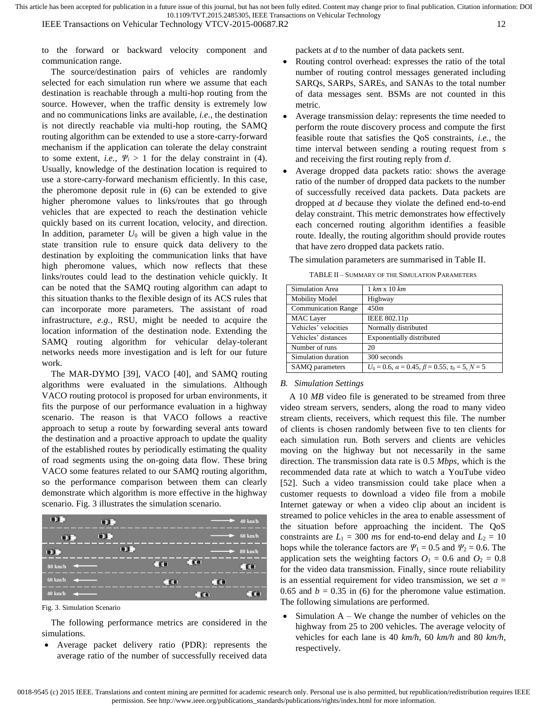IEEE Transactions on Vehicular Technology VTCV-2015-00687.R2 12

to the forward or backward velocity component and communication range.

The source/destination pairs of vehicles are randomly selected for each simulation run where we assume that each destination is reachable through a multi-hop routing from the source. However, when the traffic density is extremely low and no communications links are available, *i.e.*, the destination is not directly reachable via multi-hop routing, the SAMQ routing algorithm can be extended to use a store-carry-forward mechanism if the application can tolerate the delay constraint to some extent, *i.e.*,  $\Psi_i > 1$  for the delay constraint in (4). Usually, knowledge of the destination location is required to use a store-carry-forward mechanism efficiently. In this case, the pheromone deposit rule in (6) can be extended to give higher pheromone values to links/routes that go through vehicles that are expected to reach the destination vehicle quickly based on its current location, velocity, and direction. In addition, parameter  $U_0$  will be given a high value in the state transition rule to ensure quick data delivery to the destination by exploiting the communication links that have high pheromone values, which now reflects that these links/routes could lead to the destination vehicle quickly. It can be noted that the SAMQ routing algorithm can adapt to this situation thanks to the flexible design of its ACS rules that can incorporate more parameters. The assistant of road infrastructure, *e.g.*, RSU, might be needed to acquire the location information of the destination node. Extending the SAMQ routing algorithm for vehicular delay-tolerant networks needs more investigation and is left for our future work.

The MAR-DYMO [39], VACO [40], and SAMQ routing algorithms were evaluated in the simulations. Although VACO routing protocol is proposed for urban environments, it fits the purpose of our performance evaluation in a highway scenario. The reason is that VACO follows a reactive approach to setup a route by forwarding several ants toward the destination and a proactive approach to update the quality of the established routes by periodically estimating the quality of road segments using the on-going data flow. These bring VACO some features related to our SAMQ routing algorithm, so the performance comparison between them can clearly demonstrate which algorithm is more effective in the highway scenario. Fig. 3 illustrates the simulation scenario.



Fig. 3. Simulation Scenario

The following performance metrics are considered in the simulations.

 Average packet delivery ratio (PDR): represents the average ratio of the number of successfully received data packets at *d* to the number of data packets sent.

- Routing control overhead: expresses the ratio of the total number of routing control messages generated including SARQs, SARPs, SAREs, and SANAs to the total number of data messages sent. BSMs are not counted in this metric.
- Average transmission delay: represents the time needed to perform the route discovery process and compute the first feasible route that satisfies the QoS constraints, *i.e.*, the time interval between sending a routing request from *s* and receiving the first routing reply from *d*.
- Average dropped data packets ratio: shows the average ratio of the number of dropped data packets to the number of successfully received data packets. Data packets are dropped at *d* because they violate the defined end-to-end delay constraint. This metric demonstrates how effectively each concerned routing algorithm identifies a feasible route. Ideally, the routing algorithm should provide routes that have zero dropped data packets ratio.

The simulation parameters are summarised in Table II.

TABLE II – SUMMARY OF THE SIMULATION PARAMETERS

| Simulation Area            | $1 km \times 10 km$                                                     |
|----------------------------|-------------------------------------------------------------------------|
| <b>Mobility Model</b>      | Highway                                                                 |
| <b>Communication Range</b> | 450m                                                                    |
| <b>MAC</b> Layer           | IEEE 802.11p                                                            |
| Vehicles' velocities       | Normally distributed                                                    |
| Vehicles' distances        | <b>Exponentially distributed</b>                                        |
| Number of runs             | 20                                                                      |
| Simulation duration        | 300 seconds                                                             |
| SAMO parameters            | $U_0 = 0.6$ , $\alpha = 0.45$ , $\beta = 0.55$ , $\tau_0 = 5$ , $N = 5$ |

#### *B. Simulation Settings*

A 10 *MB* video file is generated to be streamed from three video stream servers, senders, along the road to many video stream clients, receivers, which request this file. The number of clients is chosen randomly between five to ten clients for each simulation run. Both servers and clients are vehicles moving on the highway but not necessarily in the same direction. The transmission data rate is 0.5 *Mbps*, which is the recommended data rate at which to watch a YouTube video [52]. Such a video transmission could take place when a customer requests to download a video file from a mobile Internet gateway or when a video clip about an incident is streamed to police vehicles in the area to enable assessment of the situation before approaching the incident. The QoS constraints are  $L_1 = 300$  *ms* for end-to-end delay and  $L_2 = 10$ hops while the tolerance factors are  $\Psi_1 = 0.5$  and  $\Psi_2 = 0.6$ . The application sets the weighting factors  $O_1 = 0.6$  and  $O_2 = 0.8$ for the video data transmission. Finally, since route reliability is an essential requirement for video transmission, we set  $a =$ 0.65 and  $b = 0.35$  in (6) for the pheromone value estimation. The following simulations are performed.

Simulation  $A - We change the number of vehicles on the$ highway from 25 to 200 vehicles. The average velocity of vehicles for each lane is 40 *km/h*, 60 *km/h* and 80 *km/h*, respectively.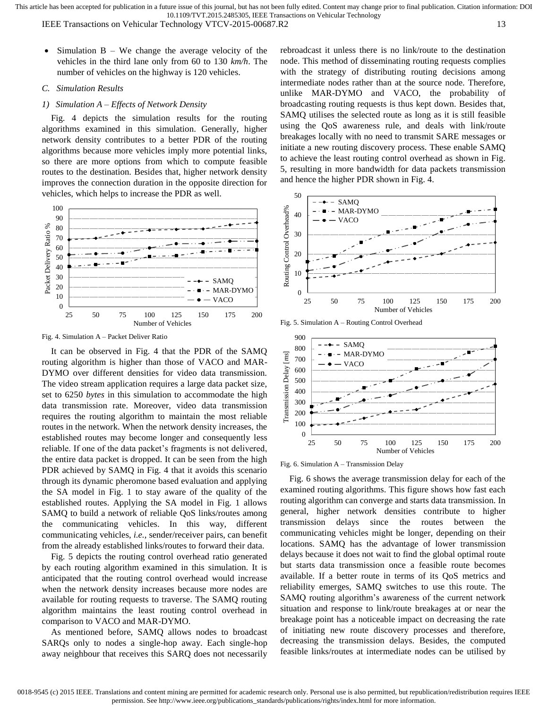IEEE Transactions on Vehicular Technology VTCV-2015-00687.R2 13

Simulation  $B - We change the average velocity of the$ vehicles in the third lane only from 60 to 130 *km/h*. The number of vehicles on the highway is 120 vehicles.

#### *C. Simulation Results*

#### *1) Simulation A – Effects of Network Density*

Fig. 4 depicts the simulation results for the routing algorithms examined in this simulation. Generally, higher network density contributes to a better PDR of the routing algorithms because more vehicles imply more potential links, so there are more options from which to compute feasible routes to the destination. Besides that, higher network density improves the connection duration in the opposite direction for vehicles, which helps to increase the PDR as well.



Fig. 4. Simulation A – Packet Deliver Ratio

It can be observed in Fig. 4 that the PDR of the SAMQ routing algorithm is higher than those of VACO and MAR-DYMO over different densities for video data transmission. The video stream application requires a large data packet size, set to 6250 *bytes* in this simulation to accommodate the high data transmission rate. Moreover, video data transmission requires the routing algorithm to maintain the most reliable routes in the network. When the network density increases, the established routes may become longer and consequently less reliable. If one of the data packet's fragments is not delivered, the entire data packet is dropped. It can be seen from the high PDR achieved by SAMQ in Fig. 4 that it avoids this scenario through its dynamic pheromone based evaluation and applying the SA model in Fig. 1 to stay aware of the quality of the established routes. Applying the SA model in Fig. 1 allows SAMQ to build a network of reliable QoS links/routes among the communicating vehicles. In this way, different communicating vehicles, *i.e.*, sender/receiver pairs, can benefit from the already established links/routes to forward their data.

Fig. 5 depicts the routing control overhead ratio generated by each routing algorithm examined in this simulation. It is anticipated that the routing control overhead would increase when the network density increases because more nodes are available for routing requests to traverse. The SAMQ routing algorithm maintains the least routing control overhead in comparison to VACO and MAR-DYMO.

As mentioned before, SAMQ allows nodes to broadcast SARQs only to nodes a single-hop away. Each single-hop away neighbour that receives this SARQ does not necessarily rebroadcast it unless there is no link/route to the destination node. This method of disseminating routing requests complies with the strategy of distributing routing decisions among intermediate nodes rather than at the source node. Therefore, unlike MAR-DYMO and VACO, the probability of broadcasting routing requests is thus kept down. Besides that, SAMQ utilises the selected route as long as it is still feasible using the QoS awareness rule, and deals with link/route breakages locally with no need to transmit SARE messages or initiate a new routing discovery process. These enable SAMQ to achieve the least routing control overhead as shown in Fig. 5, resulting in more bandwidth for data packets transmission and hence the higher PDR shown in Fig. 4.



Fig. 5. Simulation A – Routing Control Overhead



Fig. 6. Simulation A – Transmission Delay

Fig. 6 shows the average transmission delay for each of the examined routing algorithms. This figure shows how fast each routing algorithm can converge and starts data transmission. In general, higher network densities contribute to higher transmission delays since the routes between the communicating vehicles might be longer, depending on their locations. SAMQ has the advantage of lower transmission delays because it does not wait to find the global optimal route but starts data transmission once a feasible route becomes available. If a better route in terms of its QoS metrics and reliability emerges, SAMQ switches to use this route. The SAMQ routing algorithm's awareness of the current network situation and response to link/route breakages at or near the breakage point has a noticeable impact on decreasing the rate of initiating new route discovery processes and therefore, decreasing the transmission delays. Besides, the computed feasible links/routes at intermediate nodes can be utilised by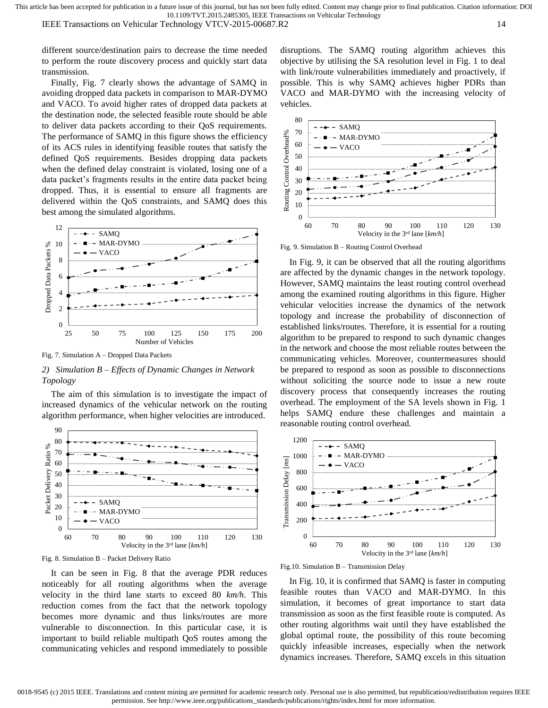IEEE Transactions on Vehicular Technology VTCV-2015-00687.R2 14

different source/destination pairs to decrease the time needed to perform the route discovery process and quickly start data transmission.

Finally, Fig. 7 clearly shows the advantage of SAMQ in avoiding dropped data packets in comparison to MAR-DYMO and VACO. To avoid higher rates of dropped data packets at the destination node, the selected feasible route should be able to deliver data packets according to their QoS requirements. The performance of SAMQ in this figure shows the efficiency of its ACS rules in identifying feasible routes that satisfy the defined QoS requirements. Besides dropping data packets when the defined delay constraint is violated, losing one of a data packet's fragments results in the entire data packet being dropped. Thus, it is essential to ensure all fragments are delivered within the QoS constraints, and SAMQ does this best among the simulated algorithms.



Fig. 7. Simulation A – Dropped Data Packets

### *2) Simulation B – Effects of Dynamic Changes in Network Topology*

The aim of this simulation is to investigate the impact of increased dynamics of the vehicular network on the routing algorithm performance, when higher velocities are introduced.



Fig. 8. Simulation B – Packet Delivery Ratio

It can be seen in Fig. 8 that the average PDR reduces noticeably for all routing algorithms when the average velocity in the third lane starts to exceed 80 *km/h*. This reduction comes from the fact that the network topology becomes more dynamic and thus links/routes are more vulnerable to disconnection. In this particular case, it is important to build reliable multipath QoS routes among the communicating vehicles and respond immediately to possible disruptions. The SAMQ routing algorithm achieves this objective by utilising the SA resolution level in Fig. 1 to deal with link/route vulnerabilities immediately and proactively, if possible. This is why SAMQ achieves higher PDRs than VACO and MAR-DYMO with the increasing velocity of vehicles.



Fig. 9. Simulation B – Routing Control Overhead

In Fig. 9, it can be observed that all the routing algorithms are affected by the dynamic changes in the network topology. However, SAMQ maintains the least routing control overhead among the examined routing algorithms in this figure. Higher vehicular velocities increase the dynamics of the network topology and increase the probability of disconnection of established links/routes. Therefore, it is essential for a routing algorithm to be prepared to respond to such dynamic changes in the network and choose the most reliable routes between the communicating vehicles. Moreover, countermeasures should be prepared to respond as soon as possible to disconnections without soliciting the source node to issue a new route discovery process that consequently increases the routing overhead. The employment of the SA levels shown in Fig. 1 helps SAMQ endure these challenges and maintain a reasonable routing control overhead.



Fig.10. Simulation B – Transmission Delay

In Fig. 10, it is confirmed that SAMQ is faster in computing feasible routes than VACO and MAR-DYMO. In this simulation, it becomes of great importance to start data transmission as soon as the first feasible route is computed. As other routing algorithms wait until they have established the global optimal route, the possibility of this route becoming quickly infeasible increases, especially when the network dynamics increases. Therefore, SAMQ excels in this situation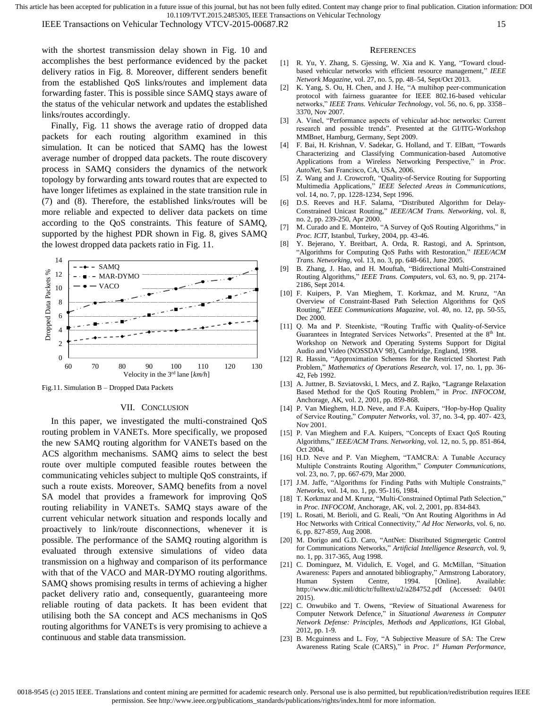IEEE Transactions on Vehicular Technology VTCV-2015-00687.R2 15

with the shortest transmission delay shown in Fig. 10 and accomplishes the best performance evidenced by the packet delivery ratios in Fig. 8. Moreover, different senders benefit from the established QoS links/routes and implement data forwarding faster. This is possible since SAMQ stays aware of the status of the vehicular network and updates the established links/routes accordingly.

Finally, Fig. 11 shows the average ratio of dropped data packets for each routing algorithm examined in this simulation. It can be noticed that SAMQ has the lowest average number of dropped data packets. The route discovery process in SAMQ considers the dynamics of the network topology by forwarding ants toward routes that are expected to have longer lifetimes as explained in the state transition rule in (7) and (8). Therefore, the established links/routes will be more reliable and expected to deliver data packets on time according to the QoS constraints. This feature of SAMQ, supported by the highest PDR shown in Fig. 8, gives SAMQ the lowest dropped data packets ratio in Fig. 11.



Fig.11. Simulation B – Dropped Data Packets

#### VII. CONCLUSION

In this paper, we investigated the multi-constrained QoS routing problem in VANETs. More specifically, we proposed the new SAMQ routing algorithm for VANETs based on the ACS algorithm mechanisms. SAMQ aims to select the best route over multiple computed feasible routes between the communicating vehicles subject to multiple QoS constraints, if such a route exists. Moreover, SAMQ benefits from a novel SA model that provides a framework for improving QoS routing reliability in VANETs. SAMQ stays aware of the current vehicular network situation and responds locally and proactively to link/route disconnections, whenever it is possible. The performance of the SAMQ routing algorithm is evaluated through extensive simulations of video data transmission on a highway and comparison of its performance with that of the VACO and MAR-DYMO routing algorithms. SAMQ shows promising results in terms of achieving a higher packet delivery ratio and, consequently, guaranteeing more reliable routing of data packets. It has been evident that utilising both the SA concept and ACS mechanisms in QoS routing algorithms for VANETs is very promising to achieve a continuous and stable data transmission.

#### **REFERENCES**

- [1] R. Yu, Y. Zhang, S. Gjessing, W. Xia and K. Yang, "Toward cloudbased vehicular networks with efficient resource management," *IEEE Network Magazine*, vol. 27, no. 5, pp. 48–54, Sept/Oct 2013.
- [2] K. Yang, S. Ou, H. Chen, and J. He, "A multihop peer-communication protocol with fairness guarantee for IEEE 802.16-based vehicular networks," *IEEE Trans. Vehicular Technology*, vol. 56, no. 6, pp. 3358– 3370, Nov 2007.
- [3] A. Vinel, "Performance aspects of vehicular ad-hoc networks: Current research and possible trends". Presented at the GI/ITG-Workshop MMBnet, Hamburg, Germany, Sept 2009.
- [4] F. Bai, H. Krishnan, V. Sadekar, G. Holland, and T. ElBatt, "Towards Characterizing and Classifying Communication-based Automotive Applications from a Wireless Networking Perspective," in *Proc. AutoNet*, San Francisco, CA, USA, 2006.
- [5] Z. Wang and J. Crowcroft, "Quality-of-Service Routing for Supporting Multimedia Applications," *IEEE Selected Areas in Communications*, vol. 14, no. 7, pp. 1228-1234, Sept 1996.
- [6] D.S. Reeves and H.F. Salama, "Distributed Algorithm for Delay-Constrained Unicast Routing," *IEEE/ACM Trans. Networking*, vol. 8, no. 2, pp. 239-250, Apr 2000.
- [7] M. Curado and E. Monteiro, "A Survey of QoS Routing Algorithms," in *Proc. ICIT*, Istanbul, Turkey, 2004, pp. 43-46.
- [8] Y. Bejerano, Y. Breitbart, A. Orda, R. Rastogi, and A. Sprintson, "Algorithms for Computing QoS Paths with Restoration," *IEEE/ACM Trans. Networking*, vol. 13, no. 3, pp. 648-661, June 2005.
- [9] B. Zhang, J. Hao, and H. Mouftah, "Bidirectional Multi-Constrained Routing Algorithms," *IEEE Trans. Computers*, vol. 63, no. 9, pp. 2174- 2186, Sept 2014.
- [10] F. Kuipers, P. Van Mieghem, T. Korkmaz, and M. Krunz, "An Overview of Constraint-Based Path Selection Algorithms for QoS Routing," *IEEE Communications Magazine*, vol. 40, no. 12, pp. 50-55, Dec 2000.
- [11] Q. Ma and P. Steenkiste, "Routing Traffic with Quality-of-Service Guarantees in Integrated Services Networks". Presented at the 8<sup>th</sup> Int. Workshop on Network and Operating Systems Support for Digital Audio and Video (NOSSDAV 98), Cambridge, England, 1998.
- [12] R. Hassin, "Approximation Schemes for the Restricted Shortest Path Problem," *Mathematics of Operations Research*, vol. 17, no. 1, pp. 36- 42, Feb 1992.
- [13] A. Juttner, B. Szviatovski, I. Mecs, and Z. Rajko, "Lagrange Relaxation Based Method for the QoS Routing Problem," in *Proc. INFOCOM*, Anchorage, AK, vol. 2, 2001, pp. 859-868.
- [14] P. Van Mieghem, H.D. Neve, and F.A. Kuipers, "Hop-by-Hop Quality of Service Routing," *Computer Networks*, vol. 37, no. 3-4, pp. 407- 423, Nov 2001.
- [15] P. Van Mieghem and F.A. Kuipers, "Concepts of Exact QoS Routing Algorithms," *IEEE/ACM Trans. Networking*, vol. 12, no. 5, pp. 851-864, Oct 2004.
- [16] H.D. Neve and P. Van Mieghem, "TAMCRA: A Tunable Accuracy Multiple Constraints Routing Algorithm," *Computer Communications*, vol. 23, no. 7, pp. 667-679, Mar 2000.
- [17] J.M. Jaffe, "Algorithms for Finding Paths with Multiple Constraints," *Networks*, vol. 14, no. 1, pp. 95-116, 1984.
- [18] T. Korkmaz and M. Krunz, "Multi-Constrained Optimal Path Selection," in *Proc. INFOCOM*, Anchorage, AK, vol. 2, 2001, pp. 834-843.
- [19] L. Rosati, M. Berioli, and G. Reali, "On Ant Routing Algorithms in Ad Hoc Networks with Critical Connectivity," *Ad Hoc Networks*, vol. 6, no. 6, pp. 827-859, Aug 2008.
- [20] M. Dorigo and G.D. Caro, "AntNet: Distributed Stigmergetic Control for Communications Networks," *Artificial Intelligence Research*, vol. 9, no. 1, pp. 317-365, Aug 1998.
- [21] C. Dominguez, M. Vidulich, E. Vogel, and G. McMillan, "Situation Awareness: Papers and annotated bibliography," Armstrong Laboratory, Human System Centre, 1994. [Online]. Available: http://www.dtic.mil/dtic/tr/fulltext/u2/a284752.pdf (Accessed: 04/01 2015).
- [22] C. Onwubiko and T. Owens, "Review of Situational Awareness for Computer Network Defence," in *Situational Awareness in Computer Network Defense: Principles, Methods and Applications*, IGI Global, 2012, pp. 1-9.
- [23] B. Mcguinness and L. Foy, "A Subjective Measure of SA: The Crew Awareness Rating Scale (CARS)," in *Proc. 1st Human Performance*,